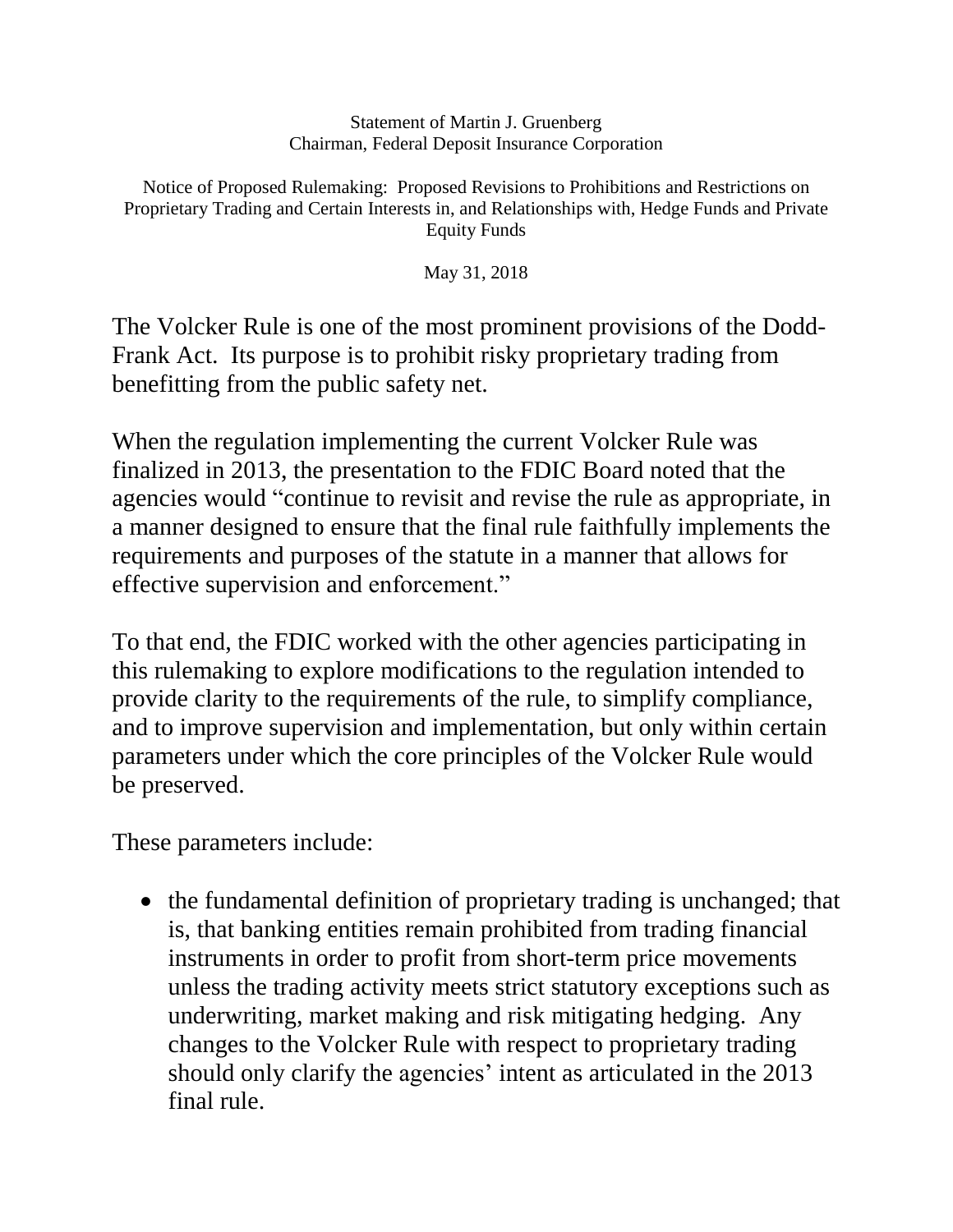Statement of Martin J. Gruenberg Chairman, Federal Deposit Insurance Corporation

Notice of Proposed Rulemaking: Proposed Revisions to Prohibitions and Restrictions on Proprietary Trading and Certain Interests in, and Relationships with, Hedge Funds and Private Equity Funds

May 31, 2018

The Volcker Rule is one of the most prominent provisions of the Dodd-Frank Act. Its purpose is to prohibit risky proprietary trading from benefitting from the public safety net.

When the regulation implementing the current Volcker Rule was finalized in 2013, the presentation to the FDIC Board noted that the agencies would "continue to revisit and revise the rule as appropriate, in a manner designed to ensure that the final rule faithfully implements the requirements and purposes of the statute in a manner that allows for effective supervision and enforcement."

To that end, the FDIC worked with the other agencies participating in this rulemaking to explore modifications to the regulation intended to provide clarity to the requirements of the rule, to simplify compliance, and to improve supervision and implementation, but only within certain parameters under which the core principles of the Volcker Rule would be preserved.

These parameters include:

• the fundamental definition of proprietary trading is unchanged; that is, that banking entities remain prohibited from trading financial instruments in order to profit from short-term price movements unless the trading activity meets strict statutory exceptions such as underwriting, market making and risk mitigating hedging. Any changes to the Volcker Rule with respect to proprietary trading should only clarify the agencies' intent as articulated in the 2013 final rule.